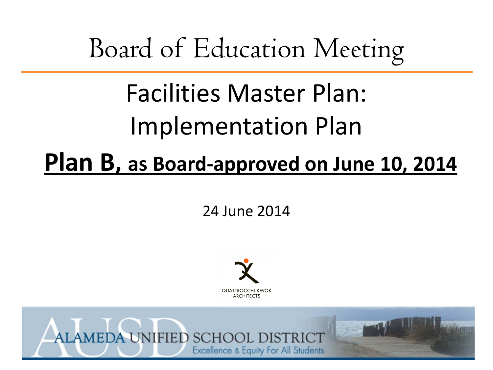# Board of Education Meeting

# Facilities Master Plan: Implementation Plan

## **Plan B, as Board-approved on June 10, 2014**

24 June 2014



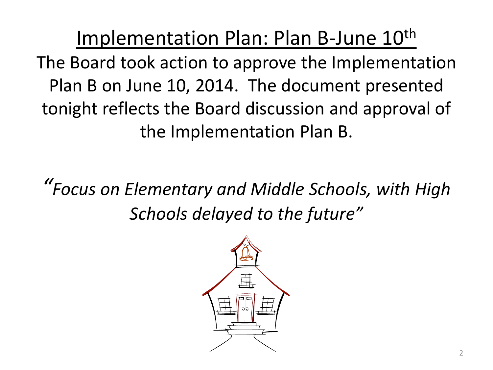Implementation Plan: Plan B-June 10<sup>th</sup> The Board took action to approve the Implementation Plan B on June 10, 2014. The document presented tonight reflects the Board discussion and approval of the Implementation Plan B.

*"Focus on Elementary and Middle Schools, with High Schools delayed to the future"*

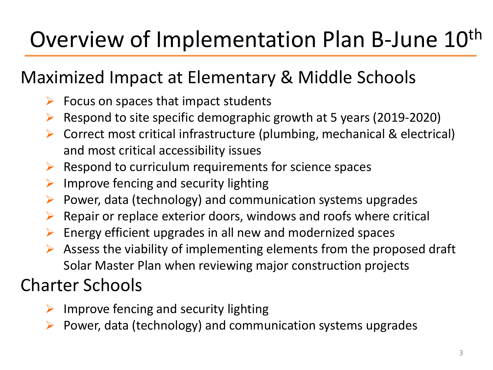# Overview of Implementation Plan B-June 10<sup>th</sup>

## Maximized Impact at Elementary & Middle Schools

- Focus on spaces that impact students
- $\triangleright$  Respond to site specific demographic growth at 5 years (2019-2020)
- $\triangleright$  Correct most critical infrastructure (plumbing, mechanical & electrical) and most critical accessibility issues
- Respond to curriculum requirements for science spaces
- $\triangleright$  Improve fencing and security lighting
- $\triangleright$  Power, data (technology) and communication systems upgrades
- $\triangleright$  Repair or replace exterior doors, windows and roofs where critical
- $\triangleright$  Energy efficient upgrades in all new and modernized spaces
- $\triangleright$  Assess the viability of implementing elements from the proposed draft Solar Master Plan when reviewing major construction projects

## Charter Schools

- $\triangleright$  Improve fencing and security lighting
- $\triangleright$  Power, data (technology) and communication systems upgrades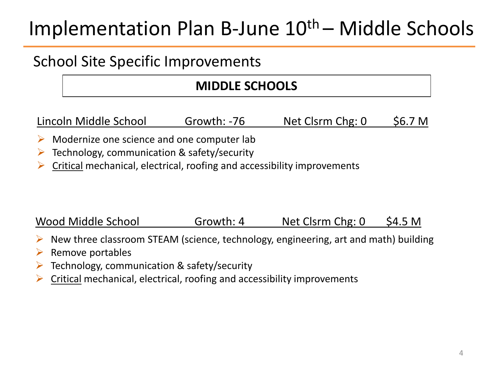## School Site Specific Improvements

### **MIDDLE SCHOOLS**

Lincoln Middle School Growth: -76 Net Clsrm Chg: 0 \$6.7 M

- Modernize one science and one computer lab
- $\triangleright$  Technology, communication & safety/security
- $\triangleright$  Critical mechanical, electrical, roofing and accessibility improvements

#### Wood Middle School Growth: 4 Net Clsrm Chg: 0 \$4.5 M

- $\triangleright$  New three classroom STEAM (science, technology, engineering, art and math) building
- Remove portables
- Technology, communication & safety/security
- $\triangleright$  Critical mechanical, electrical, roofing and accessibility improvements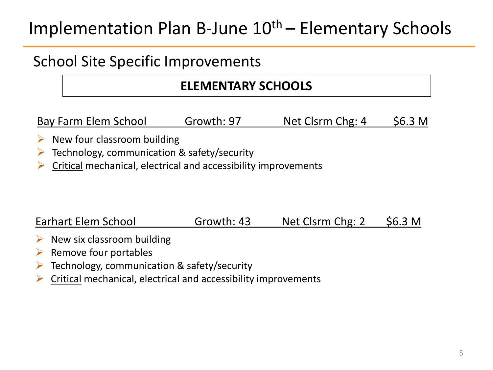## School Site Specific Improvements

### **ELEMENTARY SCHOOLS**

Bay Farm Elem School Growth: 97 Net Clsrm Chg: 4 \$6.3 M

- $\triangleright$  New four classroom building
- $\triangleright$  Technology, communication & safety/security
- $\triangleright$  Critical mechanical, electrical and accessibility improvements

#### Earhart Elem School Growth: 43 Net Clsrm Chg: 2 \$6.3 M

- $\triangleright$  New six classroom building
- $\triangleright$  Remove four portables
- $\triangleright$  Technology, communication & safety/security
- $\triangleright$  Critical mechanical, electrical and accessibility improvements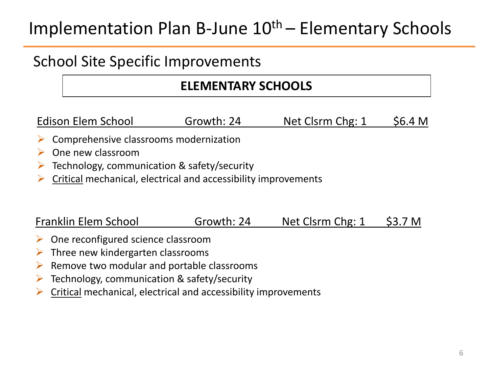### School Site Specific Improvements

### **ELEMENTARY SCHOOLS**

Edison Elem School Growth: 24 Net Clsrm Chg: 1 \$6.4 M

- Comprehensive classrooms modernization
- $\triangleright$  One new classroom
- $\triangleright$  Technology, communication & safety/security
- $\triangleright$  Critical mechanical, electrical and accessibility improvements

#### Franklin Elem School Growth: 24 Net Clsrm Chg: 1 \$3.7 M

- $\triangleright$  One reconfigured science classroom
- $\triangleright$  Three new kindergarten classrooms
- $\triangleright$  Remove two modular and portable classrooms
- Technology, communication & safety/security
- Critical mechanical, electrical and accessibility improvements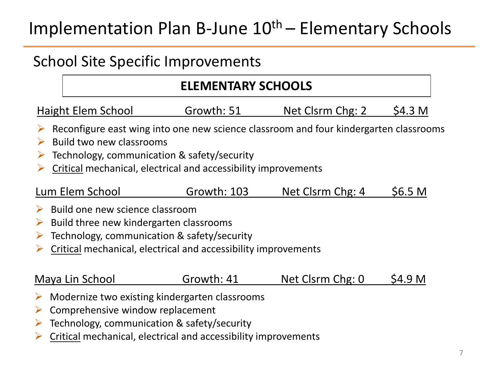## School Site Specific Improvements

### **ELEMENTARY SCHOOLS**

| Haight Elem School | Growth: 51 | Net Clsrm Chg: 2 | \$4.3 M |
|--------------------|------------|------------------|---------|
|--------------------|------------|------------------|---------|

- $\triangleright$  Reconfigure east wing into one new science classroom and four kindergarten classrooms
- $\triangleright$  Build two new classrooms
- $\triangleright$  Technology, communication & safety/security
- Critical mechanical, electrical and accessibility improvements

#### Lum Elem School Growth: 103 Net Clsrm Chg: 4 \$6.5 M

- $\triangleright$  Build one new science classroom
- $\triangleright$  Build three new kindergarten classrooms
- $\triangleright$  Technology, communication & safety/security
- Critical mechanical, electrical and accessibility improvements

#### Maya Lin School Growth: 41 Net Clsrm Chg: 0 \$4.9 M

- Modernize two existing kindergarten classrooms
- $\triangleright$  Comprehensive window replacement
- $\triangleright$  Technology, communication & safety/security
- Critical mechanical, electrical and accessibility improvements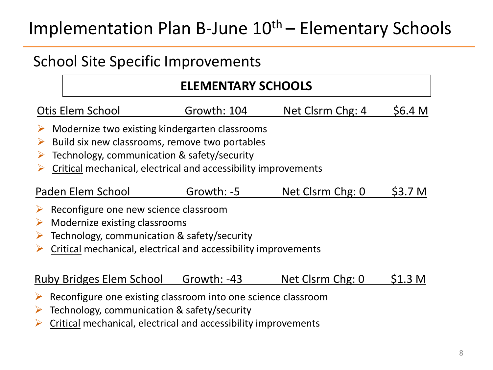## School Site Specific Improvements

### **ELEMENTARY SCHOOLS**

| Otis Elem School | Growth: 104 | Net Clsrm Chg: 4 | \$6.4 M |
|------------------|-------------|------------------|---------|
|------------------|-------------|------------------|---------|

- $\triangleright$  Modernize two existing kindergarten classrooms
- $\triangleright$  Build six new classrooms, remove two portables
- $\triangleright$  Technology, communication & safety/security
- Critical mechanical, electrical and accessibility improvements

#### Paden Elem School Growth: -5 Net Clsrm Chg: 0 \$3.7 M

- $\triangleright$  Reconfigure one new science classroom
- $\triangleright$  Modernize existing classrooms
- $\triangleright$  Technology, communication & safety/security
- Critical mechanical, electrical and accessibility improvements

#### Ruby Bridges Elem School Growth: -43 Net Clsrm Chg: 0 \$1.3 M

- Reconfigure one existing classroom into one science classroom
- $\triangleright$  Technology, communication & safety/security
- $\triangleright$  Critical mechanical, electrical and accessibility improvements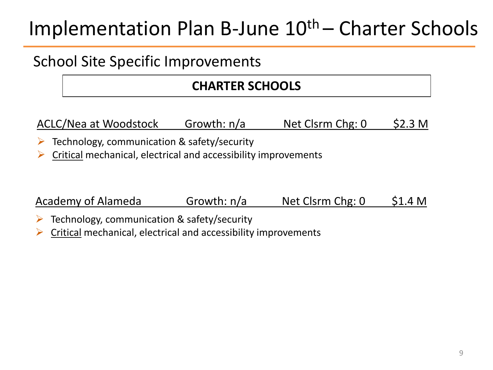## Implementation Plan B-June  $10<sup>th</sup>$  – Charter Schools

## School Site Specific Improvements

### **CHARTER SCHOOLS**

ACLC/Nea at Woodstock Growth: n/a Net Clsrm Chg: 0 \$2.3 M

- $\triangleright$  Technology, communication & safety/security
- $\triangleright$  Critical mechanical, electrical and accessibility improvements

Academy of Alameda Growth: n/a Net Clsrm Chg: 0 \$1.4 M

- Technology, communication & safety/security
- Critical mechanical, electrical and accessibility improvements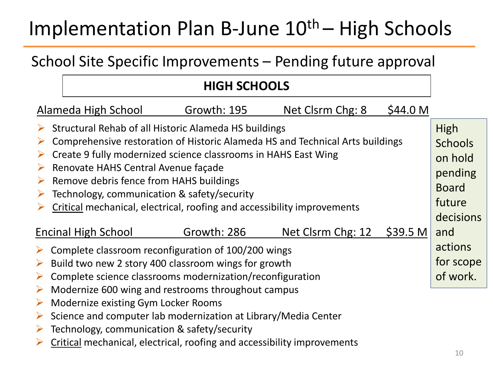## Implementation Plan B-June  $10<sup>th</sup>$  – High Schools

## School Site Specific Improvements – Pending future approval

### **HIGH SCHOOLS**

| Alameda High School                                                                                                                                                                                                                                                                                                                                                                                                                 | Growth: 195 | Net Clsrm Chg: 8  | \$44.0 M            |                                                                                     |
|-------------------------------------------------------------------------------------------------------------------------------------------------------------------------------------------------------------------------------------------------------------------------------------------------------------------------------------------------------------------------------------------------------------------------------------|-------------|-------------------|---------------------|-------------------------------------------------------------------------------------|
| Structural Rehab of all Historic Alameda HS buildings<br>Comprehensive restoration of Historic Alameda HS and Technical Arts buildings<br>Create 9 fully modernized science classrooms in HAHS East Wing<br>Renovate HAHS Central Avenue façade<br>➤<br>Remove debris fence from HAHS buildings<br>➤<br>Technology, communication & safety/security<br>➤<br>Critical mechanical, electrical, roofing and accessibility improvements |             |                   |                     | High<br><b>Schools</b><br>on hold<br>pending<br><b>Board</b><br>future<br>decisions |
| Encinal High School                                                                                                                                                                                                                                                                                                                                                                                                                 | Growth: 286 | Net Clsrm Chg: 12 | \$39.5 <sub>M</sub> | and                                                                                 |
| Complete classroom reconfiguration of 100/200 wings                                                                                                                                                                                                                                                                                                                                                                                 |             |                   |                     | actions                                                                             |
| Build two new 2 story 400 classroom wings for growth<br>➤                                                                                                                                                                                                                                                                                                                                                                           |             |                   |                     | for scope                                                                           |
| Complete science classrooms modernization/reconfiguration                                                                                                                                                                                                                                                                                                                                                                           |             |                   | of work.            |                                                                                     |
| Modernize 600 wing and restrooms throughout campus<br>➤                                                                                                                                                                                                                                                                                                                                                                             |             |                   |                     |                                                                                     |
| Modernize existing Gym Locker Rooms<br>➤                                                                                                                                                                                                                                                                                                                                                                                            |             |                   |                     |                                                                                     |
| Science and computer lab modernization at Library/Media Center<br>➤                                                                                                                                                                                                                                                                                                                                                                 |             |                   |                     |                                                                                     |
| $\triangleright$ Technology, communication & safety/security                                                                                                                                                                                                                                                                                                                                                                        |             |                   |                     |                                                                                     |

Critical mechanical, electrical, roofing and accessibility improvements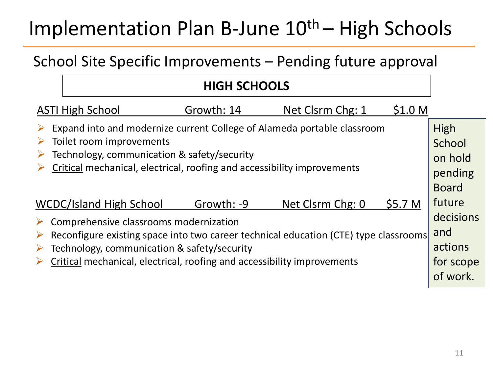## Implementation Plan B-June  $10<sup>th</sup>$  – High Schools

## School Site Specific Improvements – Pending future approval

### **HIGH SCHOOLS**

| <b>ASTI High School</b>                                                                                                     | Growth: 14 | Net Clsrm Chg: 1 | \$1.0 M   |                |
|-----------------------------------------------------------------------------------------------------------------------------|------------|------------------|-----------|----------------|
| Expand into and modernize current College of Alameda portable classroom<br>➤<br>Toilet room improvements                    |            |                  |           | High<br>School |
| Technology, communication & safety/security                                                                                 |            |                  |           | on hold        |
| Critical mechanical, electrical, roofing and accessibility improvements                                                     |            |                  | pending   |                |
|                                                                                                                             |            |                  |           | <b>Board</b>   |
| <b>WCDC/Island High School</b>                                                                                              | Growth: -9 | Net Clsrm Chg: 0 | \$5.7 M   | future         |
| Comprehensive classrooms modernization<br>➤                                                                                 |            |                  |           | decisions      |
| Reconfigure existing space into two career technical education (CTE) type classrooms<br>➤                                   |            |                  |           | and            |
| Technology, communication & safety/security<br>➤<br>Critical mechanical, electrical, roofing and accessibility improvements |            |                  | actions   |                |
|                                                                                                                             |            |                  | for scope |                |
|                                                                                                                             |            |                  |           | of work.       |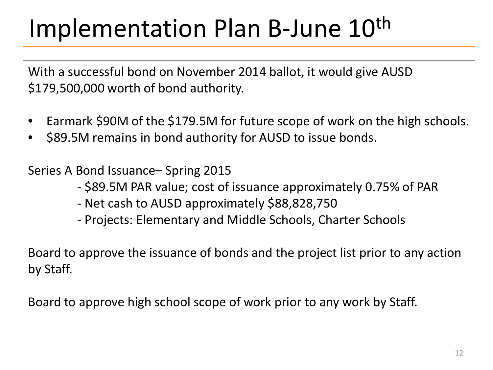# Implementation Plan B-June 10<sup>th</sup>

With a successful bond on November 2014 ballot, it would give AUSD \$179,500,000 worth of bond authority.

- Earmark \$90M of the \$179.5M for future scope of work on the high schools.
- \$89.5M remains in bond authority for AUSD to issue bonds.

Series A Bond Issuance– Spring 2015

- \$89.5M PAR value; cost of issuance approximately 0.75% of PAR
- Net cash to AUSD approximately \$88,828,750
- Projects: Elementary and Middle Schools, Charter Schools

Board to approve the issuance of bonds and the project list prior to any action by Staff.

Board to approve high school scope of work prior to any work by Staff.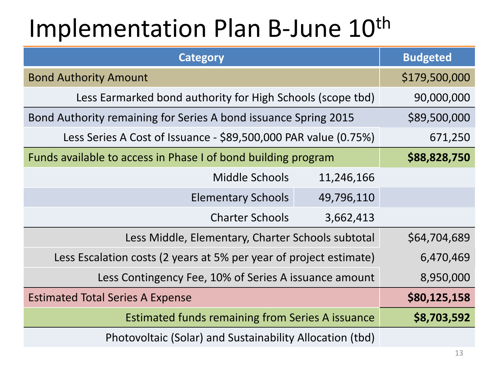# Implementation Plan B-June 10<sup>th</sup>

| <b>Category</b>                                                    | <b>Budgeted</b> |
|--------------------------------------------------------------------|-----------------|
| <b>Bond Authority Amount</b>                                       | \$179,500,000   |
| Less Earmarked bond authority for High Schools (scope tbd)         | 90,000,000      |
| Bond Authority remaining for Series A bond issuance Spring 2015    | \$89,500,000    |
| Less Series A Cost of Issuance - \$89,500,000 PAR value (0.75%)    | 671,250         |
| Funds available to access in Phase I of bond building program      | \$88,828,750    |
| <b>Middle Schools</b><br>11,246,166                                |                 |
| <b>Elementary Schools</b><br>49,796,110                            |                 |
| <b>Charter Schools</b><br>3,662,413                                |                 |
| Less Middle, Elementary, Charter Schools subtotal                  | \$64,704,689    |
| Less Escalation costs (2 years at 5% per year of project estimate) | 6,470,469       |
| Less Contingency Fee, 10% of Series A issuance amount              | 8,950,000       |
| <b>Estimated Total Series A Expense</b>                            | \$80,125,158    |
| <b>Estimated funds remaining from Series A issuance</b>            | \$8,703,592     |
| Photovoltaic (Solar) and Sustainability Allocation (tbd)           |                 |